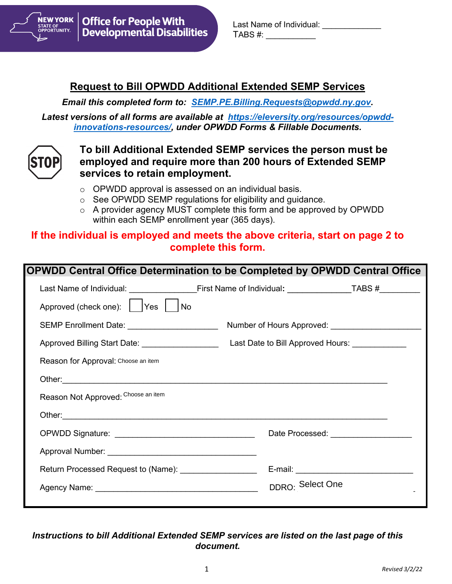

| Last Name of Individual: |  |
|--------------------------|--|
| TABS #:                  |  |

## **Request to Bill OPWDD Additional Extended SEMP Services**

*Email this completed form to: [SEMP.PE.Billing.Requests@opwdd.ny.gov.](mailto:SEMP.PE.Billing.Requests@opwdd.ny.gov)* 

*Latest versions of all forms are available at [https://eleversity.org/resources/opwdd](https://eleversity.org/resources/opwdd-innovations-resources/)[innovations-resources/,](https://eleversity.org/resources/opwdd-innovations-resources/) under OPWDD Forms & Fillable Documents.*



### **To bill Additional Extended SEMP services the person must be employed and require more than 200 hours of Extended SEMP services to retain employment.**

- o OPWDD approval is assessed on an individual basis.
- o See OPWDD SEMP regulations for eligibility and guidance.
- o A provider agency MUST complete this form and be approved by OPWDD within each SEMP enrollment year (365 days).

## **If the individual is employed and meets the above criteria, start on page 2 to complete this form.**

| <b>OPWDD Central Office Determination to be Completed by OPWDD Central Office</b>                                                                                                                                              |                  |                                             |
|--------------------------------------------------------------------------------------------------------------------------------------------------------------------------------------------------------------------------------|------------------|---------------------------------------------|
|                                                                                                                                                                                                                                |                  |                                             |
| Approved (check one):     Yes     No                                                                                                                                                                                           |                  |                                             |
| SEMP Enrollment Date: ______________________                                                                                                                                                                                   |                  |                                             |
|                                                                                                                                                                                                                                |                  |                                             |
| Reason for Approval: Choose an item                                                                                                                                                                                            |                  |                                             |
| Other: University of the Commission of the Commission of the Commission of the Commission of the Commission of the Commission of the Commission of the Commission of the Commission of the Commission of the Commission of the |                  |                                             |
| Reason Not Approved: Choose an item                                                                                                                                                                                            |                  |                                             |
|                                                                                                                                                                                                                                |                  |                                             |
|                                                                                                                                                                                                                                |                  | Date Processed: ___________________         |
|                                                                                                                                                                                                                                |                  |                                             |
| Return Processed Request to (Name): ____________________                                                                                                                                                                       |                  | E-mail: ___________________________________ |
|                                                                                                                                                                                                                                | DDRO: Select One |                                             |
|                                                                                                                                                                                                                                |                  |                                             |

#### *Instructions to bill Additional Extended SEMP services are listed on the last page of this document.*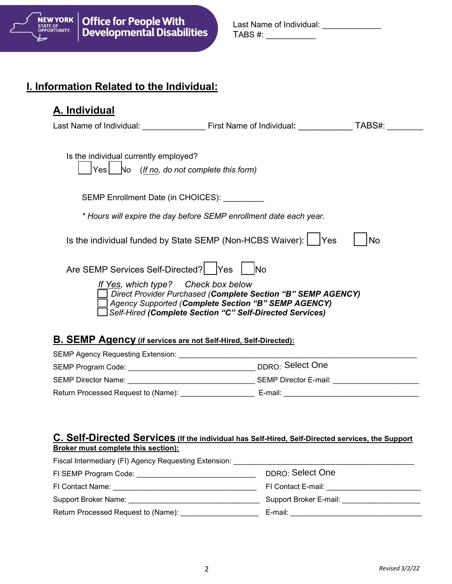

| Last Name of Individual: |  |
|--------------------------|--|
| TABS #:                  |  |

## **I. Information Related to the Individual:**

| A. Individual                                                                      |                                                                                                                                                                                 |    |
|------------------------------------------------------------------------------------|---------------------------------------------------------------------------------------------------------------------------------------------------------------------------------|----|
|                                                                                    | Last Name of Individual: First Name of Individual: TABS#:                                                                                                                       |    |
| Is the individual currently employed?<br>Yes No (If no, do not complete this form) |                                                                                                                                                                                 |    |
| SEMP Enrollment Date (in CHOICES): _________                                       |                                                                                                                                                                                 |    |
|                                                                                    | * Hours will expire the day before SEMP enrollment date each year.                                                                                                              |    |
|                                                                                    | Is the individual funded by State SEMP (Non-HCBS Waiver):   Yes                                                                                                                 | No |
| Are SEMP Services Self-Directed?   Yes   No                                        |                                                                                                                                                                                 |    |
| If Yes, which type? Check box below                                                | Direct Provider Purchased (Complete Section "B" SEMP AGENCY)<br>Agency Supported (Complete Section "B" SEMP AGENCY)<br>Self-Hired (Complete Section "C" Self-Directed Services) |    |
| <b>B. SEMP Agency (if services are not Self-Hired, Self-Directed):</b>             |                                                                                                                                                                                 |    |
|                                                                                    |                                                                                                                                                                                 |    |
|                                                                                    |                                                                                                                                                                                 |    |
|                                                                                    |                                                                                                                                                                                 |    |

#### **C. Self-Directed Services (If the individual has Self-Hired, Self-Directed services, the Support Broker must complete this section):**

Return Processed Request to (Name): \_\_\_\_\_\_\_\_\_\_\_\_\_\_\_\_\_\_ E-mail: \_\_\_\_\_\_\_\_\_\_\_\_\_\_\_\_\_\_\_\_\_\_\_\_\_\_\_\_\_\_\_\_\_

| Fiscal Intermediary (FI) Agency Requesting Extension: |                        |
|-------------------------------------------------------|------------------------|
| FI SEMP Program Code: Notelland Section 1996          | DDRO: Select One       |
| FI Contact Name:                                      | FI Contact E-mail:     |
| Support Broker Name:                                  | Support Broker E-mail: |
| Return Processed Request to (Name):                   | E-mail:                |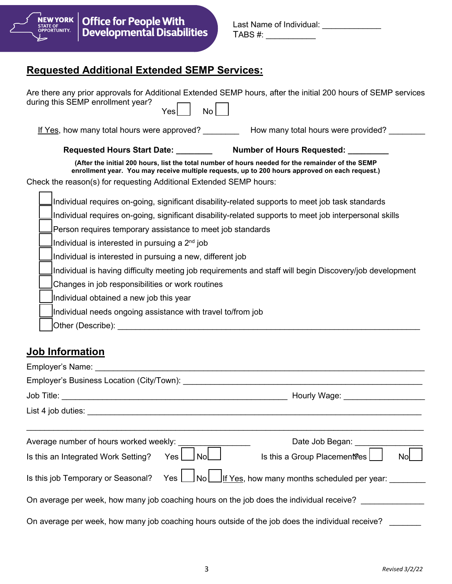

| Last Name of Individual: |  |
|--------------------------|--|
| TABS #:                  |  |

# **Requested Additional Extended SEMP Services:**

| Are there any prior approvals for Additional Extended SEMP hours, after the initial 200 hours of SEMP services<br>during this SEMP enrollment year?<br>No<br>Yes                                                               |
|--------------------------------------------------------------------------------------------------------------------------------------------------------------------------------------------------------------------------------|
| If Yes, how many total hours were approved?<br>How many total hours were provided?                                                                                                                                             |
| Requested Hours Start Date: Mumber of Hours Requested: Material Assembly Requested:                                                                                                                                            |
| (After the initial 200 hours, list the total number of hours needed for the remainder of the SEMP<br>enrollment year. You may receive multiple requests, up to 200 hours approved on each request.)                            |
| Check the reason(s) for requesting Additional Extended SEMP hours:                                                                                                                                                             |
| Individual requires on-going, significant disability-related supports to meet job task standards                                                                                                                               |
| Individual requires on-going, significant disability-related supports to meet job interpersonal skills                                                                                                                         |
| Person requires temporary assistance to meet job standards                                                                                                                                                                     |
| Individual is interested in pursuing a $2^{\text{nd}}$ job                                                                                                                                                                     |
| Individual is interested in pursuing a new, different job                                                                                                                                                                      |
| Individual is having difficulty meeting job requirements and staff will begin Discovery/job development                                                                                                                        |
| Changes in job responsibilities or work routines                                                                                                                                                                               |
| Individual obtained a new job this year                                                                                                                                                                                        |
| Individual needs ongoing assistance with travel to/from job                                                                                                                                                                    |
| Other (Describe): with a state of the control of the control of the control of the control of the control of the control of the control of the control of the control of the control of the control of the control of the cont |
| <b>Job Information</b>                                                                                                                                                                                                         |

|                                         | Hourly Wage: _____________________                                                                  |
|-----------------------------------------|-----------------------------------------------------------------------------------------------------|
|                                         |                                                                                                     |
|                                         |                                                                                                     |
|                                         | Date Job Began: ____                                                                                |
| Is this an Integrated Work Setting? Yes | $\big]$ No $\Box$ Is this a Group Placement?es $[$<br><b>No</b>                                     |
|                                         | Is this job Temporary or Seasonal? Yes $\Box$ No $\Box$ If Yes, how many months scheduled per year: |
|                                         | On average per week, how many job coaching hours on the job does the individual receive?            |
|                                         | On average per week, how many job coaching hours outside of the job does the individual receive?    |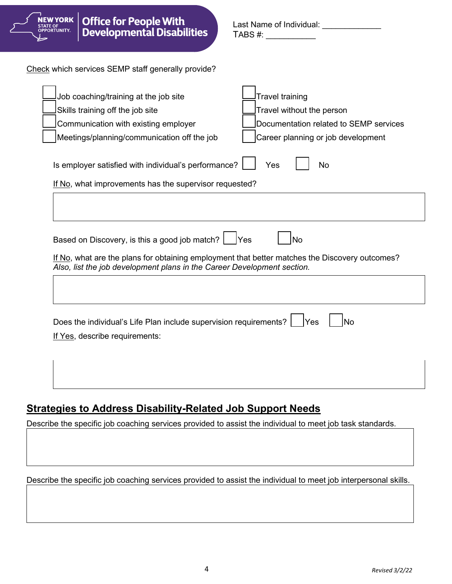

## **Strategies to Address Disability-Related Job Support Needs**

Describe the specific job coaching services provided to assist the individual to meet job task standards.

Describe the specific job coaching services provided to assist the individual to meet job interpersonal skills.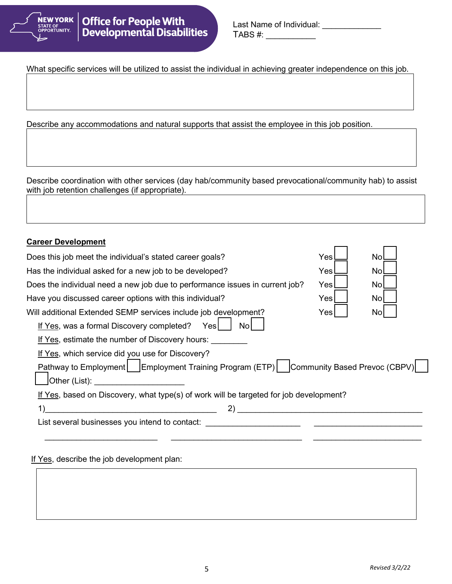

| Last Name of Individual: |  |
|--------------------------|--|
| TABS #:                  |  |

What specific services will be utilized to assist the individual in achieving greater independence on this job.

Describe any accommodations and natural supports that assist the employee in this job position.

Describe coordination with other services (day hab/community based prevocational/community hab) to assist with job retention challenges (if appropriate).

| <b>Career Development</b>                                                                 |      |    |
|-------------------------------------------------------------------------------------------|------|----|
| Does this job meet the individual's stated career goals?                                  | Yesl | No |
| Has the individual asked for a new job to be developed?                                   | Yesl | No |
| Does the individual need a new job due to performance issues in current job?              | Yes  | No |
| Have you discussed career options with this individual?                                   | Yes  | No |
| Will additional Extended SEMP services include job development?                           | Yes  | No |
| If Yes, was a formal Discovery completed? Yes<br>Nol                                      |      |    |
| If Yes, estimate the number of Discovery hours:                                           |      |    |
| If Yes, which service did you use for Discovery?                                          |      |    |
| Pathway to Employment   Employment Training Program (ETP)   Community Based Prevoc (CBPV) |      |    |
| Other (List):                                                                             |      |    |
| If Yes, based on Discovery, what type(s) of work will be targeted for job development?    |      |    |
|                                                                                           |      |    |
| List several businesses you intend to contact:                                            |      |    |
|                                                                                           |      |    |

If Yes, describe the job development plan: